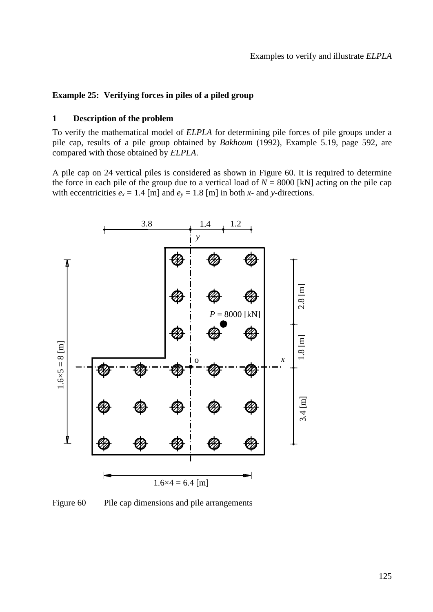# **Example 25: Verifying forces in piles of a piled group**

### **1 Description of the problem**

To verify the mathematical model of *ELPLA* for determining pile forces of pile groups under a pile cap, results of a pile group obtained by *Bakhoum* (1992), Example 5.19, page 592, are compared with those obtained by *ELPLA*.

A pile cap on 24 vertical piles is considered as shown in [Figure 60.](#page-0-0) It is required to determine the force in each pile of the group due to a vertical load of  $N = 8000$  [kN] acting on the pile cap with eccentricities  $e_x = 1.4$  [m] and  $e_y = 1.8$  [m] in both *x*- and *y*-directions.



<span id="page-0-0"></span>Figure 60 Pile cap dimensions and pile arrangements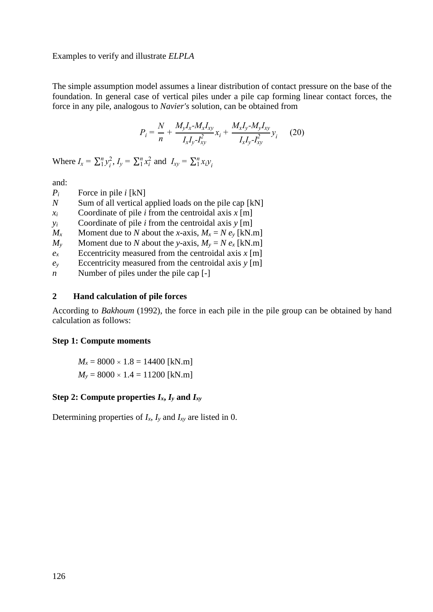Examples to verify and illustrate *ELPLA*

The simple assumption model assumes a linear distribution of contact pressure on the base of the foundation. In general case of vertical piles under a pile cap forming linear contact forces, the force in any pile, analogous to *Navier's* solution, can be obtained from

$$
P_i = \frac{N}{n} + \frac{M_y I_x - M_x I_{xy}}{I_x I_y - I_{xy}^2} x_i + \frac{M_x I_y - M_y I_{xy}}{I_x I_y - I_{xy}^2} y_i
$$
 (20)

Where  $I_x = \sum_{i=1}^{n} y_i^2$  $I_1 v_i^2$ ,  $I_y = \sum_1^n x_i^2$  and  $I_{xy} = \sum_1^n x_i y_i^2$ *n* 1

and:

- $P_i$  Force in pile *i* [kN]
- *N* Sum of all vertical applied loads on the pile cap [kN]
- $x_i$  Coordinate of pile *i* from the centroidal axis  $x \in \mathbb{R}$
- *y*<sup>*i*</sup> Coordinate of pile *i* from the centroidal axis *y* [m]
- *M<sub>x</sub>* Moment due to *N* about the *x*-axis,  $M_x = N e_y$  [kN.m]
- *M*<sup>*y*</sup> Moment due to *N* about the *y*-axis,  $M_y = N e_x$  [kN.m]
- $e_x$  Eccentricity measured from the centroidal axis  $x$  [m]
- $e_y$  Eccentricity measured from the centroidal axis  $y$  [m]
- *n* Number of piles under the pile cap [-]

### **2 Hand calculation of pile forces**

According to *Bakhoum* (1992), the force in each pile in the pile group can be obtained by hand calculation as follows:

#### **Step 1: Compute moments**

 $M_x = 8000 \times 1.8 = 14400$  [kN.m]  $M_y = 8000 \times 1.4 = 11200$  [kN.m]

# Step 2: Compute properties  $I_x$ ,  $I_y$  and  $I_{xy}$

<span id="page-1-0"></span>Determining properties of  $I_x$ ,  $I_y$  and  $I_{xy}$  are listed in [0.](#page-1-0)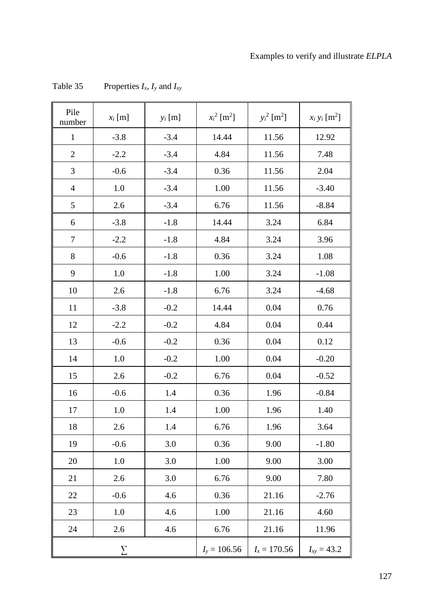| Pile<br>number | $x_i$ [m] | $y_i$ [m] | $x_i^2$ [m <sup>2</sup> ] | $y_i^2$ [m <sup>2</sup> ] | $x_i y_i$ [m <sup>2</sup> ] |
|----------------|-----------|-----------|---------------------------|---------------------------|-----------------------------|
| $\mathbf{1}$   | $-3.8$    | $-3.4$    | 14.44                     | 11.56                     | 12.92                       |
| $\overline{2}$ | $-2.2$    | $-3.4$    | 4.84                      | 11.56                     | 7.48                        |
| 3              | $-0.6$    | $-3.4$    | 0.36                      | 11.56                     | 2.04                        |
| $\overline{4}$ | 1.0       | $-3.4$    | 1.00                      | 11.56                     | $-3.40$                     |
| 5              | 2.6       | $-3.4$    | 6.76                      | 11.56                     | $-8.84$                     |
| 6              | $-3.8$    | $-1.8$    | 14.44                     | 3.24                      | 6.84                        |
| 7              | $-2.2$    | $-1.8$    | 4.84                      | 3.24                      | 3.96                        |
| 8              | $-0.6$    | $-1.8$    | 0.36                      | 3.24                      | 1.08                        |
| 9              | 1.0       | $-1.8$    | 1.00                      | 3.24                      | $-1.08$                     |
| 10             | 2.6       | $-1.8$    | 6.76                      | 3.24                      | $-4.68$                     |
| 11             | $-3.8$    | $-0.2$    | 14.44                     | 0.04                      | 0.76                        |
| 12             | $-2.2$    | $-0.2$    | 4.84                      | 0.04                      | 0.44                        |
| 13             | $-0.6$    | $-0.2$    | 0.36                      | 0.04                      | 0.12                        |
| 14             | 1.0       | $-0.2$    | 1.00                      | 0.04                      | $-0.20$                     |
| 15             | 2.6       | $-0.2$    | 6.76                      | 0.04                      | $-0.52$                     |
| 16             | $-0.6$    | 1.4       | 0.36                      | 1.96                      | $-0.84$                     |
| 17             | 1.0       | 1.4       | 1.00                      | 1.96                      | 1.40                        |
| 18             | 2.6       | 1.4       | 6.76                      | 1.96                      | 3.64                        |
| 19             | $-0.6$    | 3.0       | 0.36                      | 9.00                      | $-1.80$                     |
| 20             | 1.0       | 3.0       | 1.00                      | 9.00                      | 3.00                        |
| 21             | 2.6       | 3.0       | 6.76                      | 9.00                      | 7.80                        |
| 22             | $-0.6$    | 4.6       | 0.36                      | 21.16                     | $-2.76$                     |
| 23             | 1.0       | 4.6       | 1.00                      | 21.16                     | 4.60                        |
| 24             | 2.6       | 4.6       | 6.76                      | 21.16                     | 11.96                       |
|                | $\sum$    |           | $I_y = 106.56$            | $I_x = 170.56$            | $I_{xy} = 43.2$             |

Table 35 Properties  $I_x$ ,  $I_y$  and  $I_{xy}$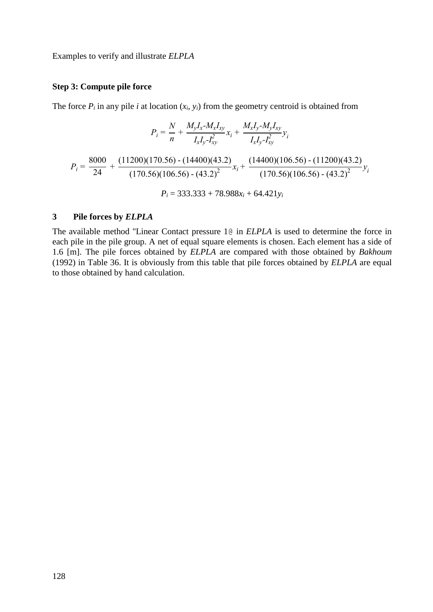Examples to verify and illustrate *ELPLA*

## **Step 3: Compute pile force**

The force  $P_i$  in any pile *i* at location  $(x_i, y_i)$  from the geometry centroid is obtained from

$$
P_{i} = \frac{N}{n} + \frac{M_{y}I_{x} - M_{x}I_{xy}}{I_{x}I_{y} - I_{xy}^{2}} x_{i} + \frac{M_{x}I_{y} - M_{y}I_{xy}}{I_{x}I_{y} - I_{xy}^{2}} y_{i}
$$

$$
P_{i} = \frac{8000}{24} + \frac{(11200)(170.56) - (14400)(43.2)}{(170.56)(106.56) - (43.2)^{2}} x_{i} + \frac{(14400)(106.56) - (11200)(43.2)}{(170.56)(106.56) - (43.2)^{2}} y_{i}
$$

$$
P_{i} = 333.333 + 78.988x_{i} + 64.421y_{i}
$$

## **3 Pile forces by** *ELPLA*

The available method "Linear Contact pressure 1@ in *ELPLA* is used to determine the force in each pile in the pile group. A net of equal square elements is chosen. Each element has a side of 1.6 [m]. The pile forces obtained by *ELPLA* are compared with those obtained by *Bakhoum* (1992) in [Table 36.](#page-4-0) It is obviously from this table that pile forces obtained by *ELPLA* are equal to those obtained by hand calculation.